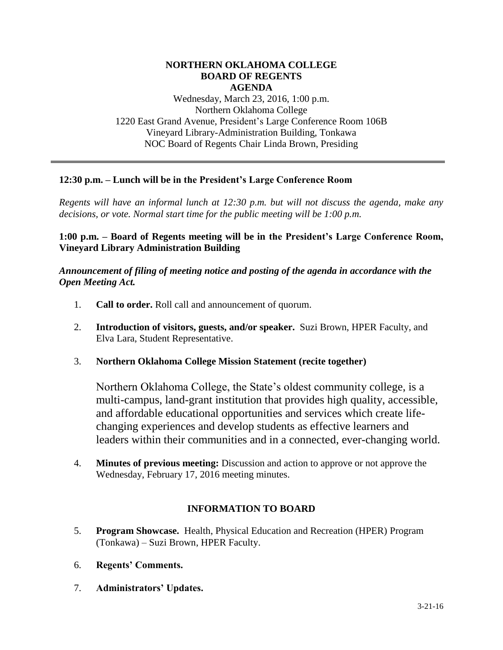#### **NORTHERN OKLAHOMA COLLEGE BOARD OF REGENTS AGENDA**

Wednesday, March 23, 2016, 1:00 p.m. Northern Oklahoma College 1220 East Grand Avenue, President's Large Conference Room 106B Vineyard Library-Administration Building, Tonkawa NOC Board of Regents Chair Linda Brown, Presiding

# **12:30 p.m. – Lunch will be in the President's Large Conference Room**

*Regents will have an informal lunch at 12:30 p.m. but will not discuss the agenda, make any decisions, or vote. Normal start time for the public meeting will be 1:00 p.m.*

**1:00 p.m. – Board of Regents meeting will be in the President's Large Conference Room, Vineyard Library Administration Building**

*Announcement of filing of meeting notice and posting of the agenda in accordance with the Open Meeting Act.*

- 1. **Call to order.** Roll call and announcement of quorum.
- 2. **Introduction of visitors, guests, and/or speaker.** Suzi Brown, HPER Faculty, and Elva Lara, Student Representative.
- 3. **Northern Oklahoma College Mission Statement (recite together)**

Northern Oklahoma College, the State's oldest community college, is a multi-campus, land-grant institution that provides high quality, accessible, and affordable educational opportunities and services which create lifechanging experiences and develop students as effective learners and leaders within their communities and in a connected, ever-changing world.

4. **Minutes of previous meeting:** Discussion and action to approve or not approve the Wednesday, February 17, 2016 meeting minutes.

# **INFORMATION TO BOARD**

- 5. **Program Showcase.** Health, Physical Education and Recreation (HPER) Program (Tonkawa) – Suzi Brown, HPER Faculty.
- 6. **Regents' Comments.**
- 7. **Administrators' Updates.**